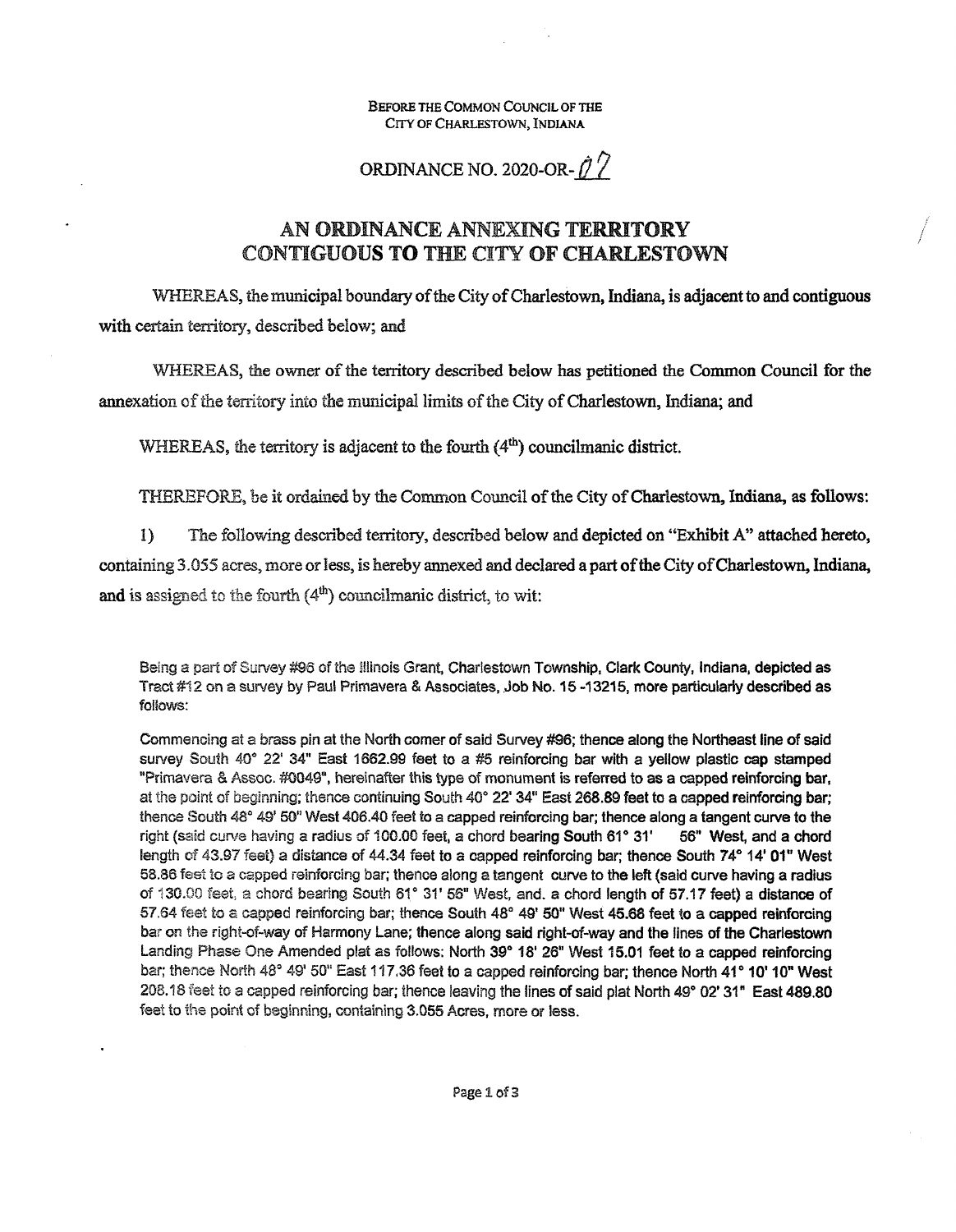Before the Common Council of the CITY OF CHARLESTOWN, INDIANA

ORDINANCE NO. 2020-OR- $\hat{\mathcal{O}}$ 

## AN ORDINANCE ANNEXING TERRITORY **CONTIGUOUS TO THE** CITY **OF CHARLESTOWN**

WHEREAS, the municipal boundary of the City of Charlestown, Indiana, is adjacent to and contiguous with certain territory, described below; and

WHEREAS, the owner of the territory described below has petitioned the Common Council for the annexation of the territory into the municipal limits of the City of Charlestown, Indiana; and

WHEREAS, the territory is adjacent to the fourth  $(4<sup>th</sup>)$  councilmanic district.

THEREFORE, be it ordained by the Common Council of the City of Charlestown, Indiana, as follows:

1) The following described territory, described below and depicted on "Exhibit A" attached hereto, containing 3.055 acres, more or less, is hereby annexed and declared a part of the City of Charlestown, Indiana, and is assigned to the fourth  $(4<sup>th</sup>)$  councilmanic district, to wit:

Being a part of Survey #96 of the Illinois Grant, Charlestown Township, Clark County, *indiana*, depicted as **Tract #12 on a** survey **by Paul Primavera & Associates, Job No. 15 -13215, more particulariy described as** follows:

**Commencing at** a **brass pin at the North comer ofsaid Survey #96; thence along the Northeast line ofsaid** survey South 40° 22' 34" East 1662.99 feet to a #5 reinforcing bar with a yellow plastic cap stamped **"Primavera & Assoc.** #0049", **hereinafter this type of monument is referred to as a capped reinforcing bar,** atthe point of beginning; thence continuing South 40° **22'** 34" **East 268.89 feat to a capped reinfordng bar;** thence South 48° 49' 50" West 406.40 feet to a capped reinforcing bar; thence along a tangent curve to the right (said curve having a radius of 100.00 feet, a chord bearing South 61° 31' 56" West, and a chord **length** of **43.97** feet) a **distance of 44.34 feet to a capped reinforcing bar; thence South 74° 14' 01" West** 58.86 feet**to** a **capped reinforcing** bar; **thence along a tangent curve** to **the left (said curve having a radius of** 130.00 feel, a chord bearing South 61° 3T 56" West. and. a **chord length of** 57.17 **feet) a distance of** 57.64 fest to a capped reinforcing **bar; thence South 48° 49' 50" West 45.68 feet to a capped reinforcing bar on the right-of-way of Harmony Lane; thence along said right-of-way and the lines of the Charlestown** Landing Phase One **Amended** plat as **follows: North 39° 18' 26" West 15.01 feet to a capped reinforcing bar; thence North 48°** 49' **50" East** 117,36 **feet to a capped reinforcing bar; thence North 41° 10' 10" West** 208.18 feetto a capped **reinforcing** bar; thence leaving **the lines ofsaid plat North** 49° **02' 31" East 489.80** feet **to** the point of beginning, containing 3,055 **Acres, more or less.**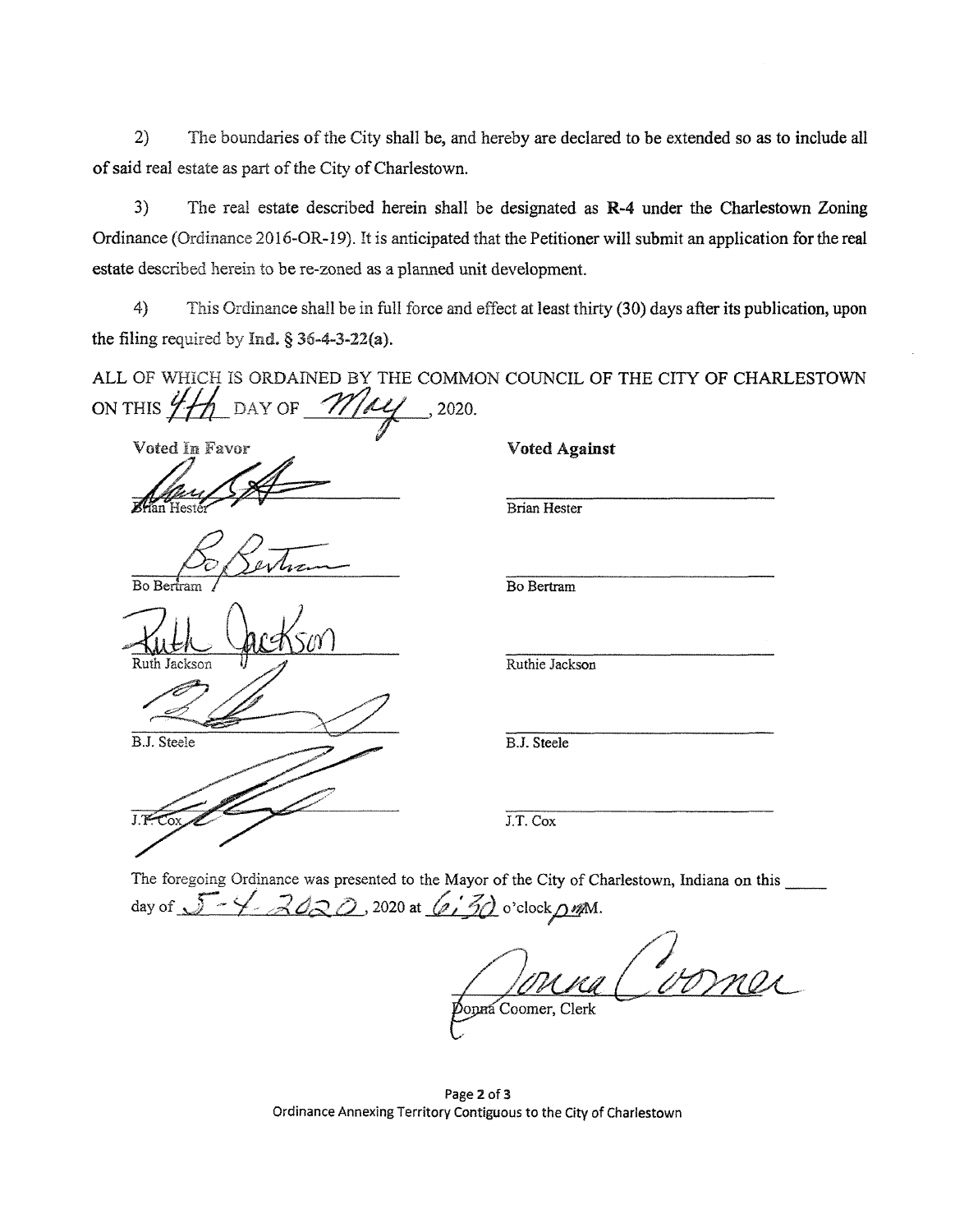2) The boundaries of the City shall be, and hereby are declared to be extended so as to include all of said real estate as part of the City of Charlestown.

3) The real estate described herein shall be designated as **R-4** under the Charlestown Zoning Ordinance (Ordinance 2016-OR-19). It is anticipated that the Petitioner will submit an application forthe real estate described herein to be re-zoned as a planned unit development.

4) This Ordinance shall be in full force and effect at least thirty (30) days after its publication, upon the filing required by Ind.  $\S$  36-4-3-22(a).

ALL OF WHICH IS ORDAINED BY THE COMMON COUNCIL OF THE CITY OF CHARLESTOWN<br>ON THIS  $\frac{i}{\sqrt{2}}\frac{1}{\sqrt{2}}$  DAY OF  $\frac{1}{\sqrt{2}}\frac{1}{\sqrt{2}}\frac{1}{\sqrt{2}}$ , 2020.

Voted In Favor 1986 and Voted Against

Bo Bertram

Ruth Jackson

B.J. Steele

 $J.F$ 

Brian Hester

Bo Bertram

Ruthie Jackson

B.J. Steele

J.T. Cox

**The** foregoing **Ordinance was presented to the Mayor ofthe City of Charlestown, Indiana on this** day of  $\sqrt{2}$   $\sqrt{2}$   $\sqrt{2}$   $\sqrt{2}$   $\sqrt{2}$   $\sqrt{2}$   $\sqrt{2}$   $\sqrt{2}$   $\sqrt{2}$   $\sqrt{2}$   $\sqrt{2}$   $\sqrt{2}$   $\sqrt{2}$   $\sqrt{2}$   $\sqrt{2}$   $\sqrt{2}$   $\sqrt{2}$   $\sqrt{2}$   $\sqrt{2}$   $\sqrt{2}$   $\sqrt{2}$   $\sqrt{2}$   $\sqrt{2}$   $\sqrt{2}$   $\sqrt{2}$   $\sqrt{2}$   $\sqrt{2}$ 

Jonna Coomer, Clerk

**Page 2 of 3 Ordinance Annexing Territory Contiguous to the City of Charlestown**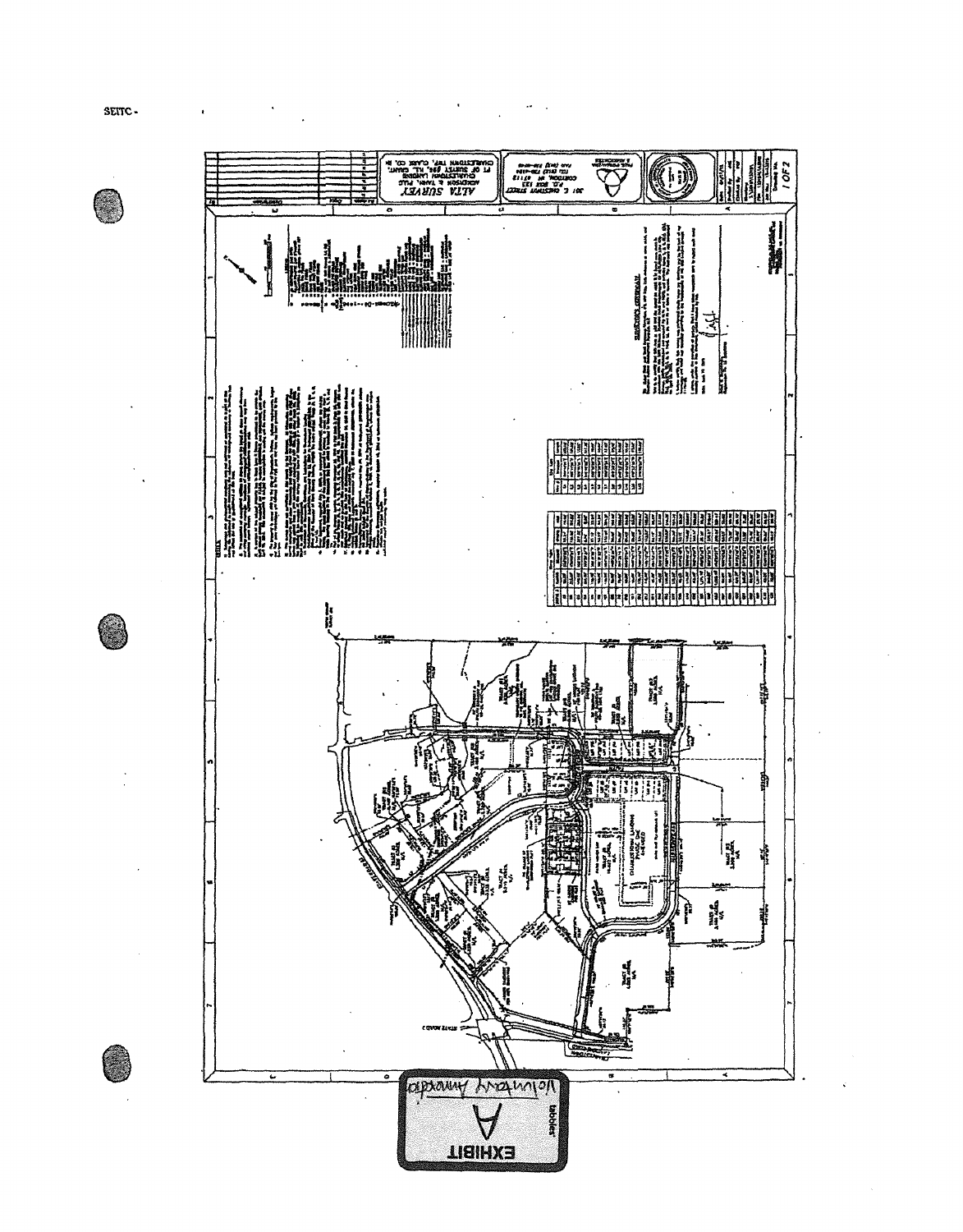SEITC-

 $\bigcirc$ 

O